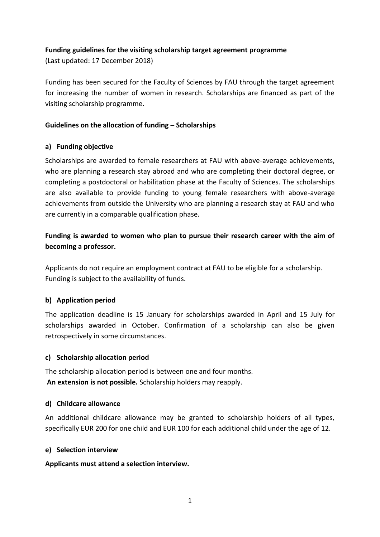### **Funding guidelines for the visiting scholarship target agreement programme**

(Last updated: 17 December 2018)

Funding has been secured for the Faculty of Sciences by FAU through the target agreement for increasing the number of women in research. Scholarships are financed as part of the visiting scholarship programme.

## **Guidelines on the allocation of funding – Scholarships**

#### **a) Funding objective**

Scholarships are awarded to female researchers at FAU with above-average achievements, who are planning a research stay abroad and who are completing their doctoral degree, or completing a postdoctoral or habilitation phase at the Faculty of Sciences. The scholarships are also available to provide funding to young female researchers with above-average achievements from outside the University who are planning a research stay at FAU and who are currently in a comparable qualification phase.

# **Funding is awarded to women who plan to pursue their research career with the aim of becoming a professor.**

Applicants do not require an employment contract at FAU to be eligible for a scholarship. Funding is subject to the availability of funds.

#### **b) Application period**

The application deadline is 15 January for scholarships awarded in April and 15 July for scholarships awarded in October. Confirmation of a scholarship can also be given retrospectively in some circumstances.

#### **c) Scholarship allocation period**

The scholarship allocation period is between one and four months. **An extension is not possible.** Scholarship holders may reapply.

#### **d) Childcare allowance**

An additional childcare allowance may be granted to scholarship holders of all types, specifically EUR 200 for one child and EUR 100 for each additional child under the age of 12.

#### **e) Selection interview**

#### **Applicants must attend a selection interview.**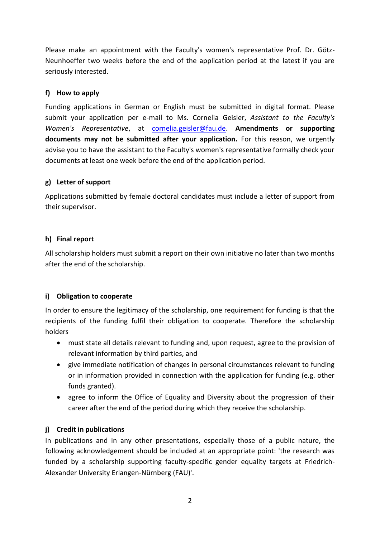Please make an appointment with the Faculty's women's representative Prof. Dr. Götz-Neunhoeffer two weeks before the end of the application period at the latest if you are seriously interested.

## **f) How to apply**

Funding applications in German or English must be submitted in digital format. Please submit your application per e-mail to Ms. Cornelia Geisler, *Assistant to the Faculty's Women's Representative*, at [cornelia.geisler@fau.de.](mailto:cornelia.geisler@fau.de) **Amendments or supporting documents may not be submitted after your application.** For this reason, we urgently advise you to have the assistant to the Faculty's women's representative formally check your documents at least one week before the end of the application period.

#### **g) Letter of support**

Applications submitted by female doctoral candidates must include a letter of support from their supervisor.

### **h) Final report**

All scholarship holders must submit a report on their own initiative no later than two months after the end of the scholarship.

# **i) Obligation to cooperate**

In order to ensure the legitimacy of the scholarship, one requirement for funding is that the recipients of the funding fulfil their obligation to cooperate. Therefore the scholarship holders

- must state all details relevant to funding and, upon request, agree to the provision of relevant information by third parties, and
- give immediate notification of changes in personal circumstances relevant to funding or in information provided in connection with the application for funding (e.g. other funds granted).
- agree to inform the Office of Equality and Diversity about the progression of their career after the end of the period during which they receive the scholarship.

# **j) Credit in publications**

In publications and in any other presentations, especially those of a public nature, the following acknowledgement should be included at an appropriate point: 'the research was funded by a scholarship supporting faculty-specific gender equality targets at Friedrich-Alexander University Erlangen-Nürnberg (FAU)'.